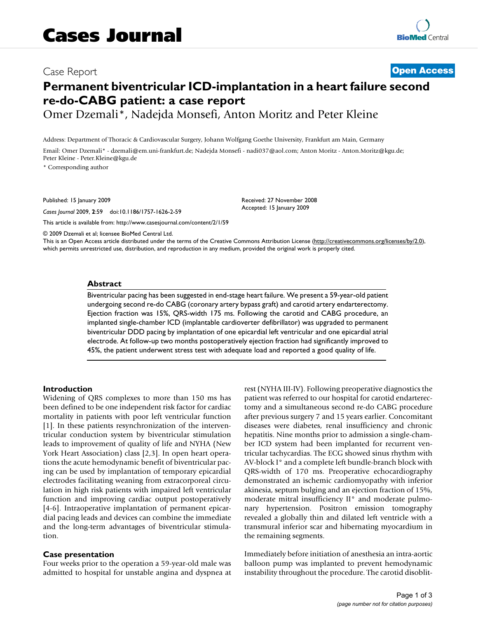# Case Report **[Open Access](http://www.biomedcentral.com/info/about/charter/)**

# **Permanent biventricular ICD-implantation in a heart failure second re-do-CABG patient: a case report**

Omer Dzemali\*, Nadejda Monsefi, Anton Moritz and Peter Kleine

Address: Department of Thoracic & Cardiovascular Surgery, Johann Wolfgang Goethe University, Frankfurt am Main, Germany

Email: Omer Dzemali\* - dzemali@em.uni-frankfurt.de; Nadejda Monsefi - nadi037@aol.com; Anton Moritz - Anton.Moritz@kgu.de; Peter Kleine - Peter.Kleine@kgu.de

\* Corresponding author

Published: 15 January 2009

*Cases Journal* 2009, **2**:59 doi:10.1186/1757-1626-2-59

[This article is available from: http://www.casesjournal.com/content/2/1/59](http://www.casesjournal.com/content/2/1/59)

Received: 27 November 2008 Accepted: 15 January 2009

© 2009 Dzemali et al; licensee BioMed Central Ltd.

This is an Open Access article distributed under the terms of the Creative Commons Attribution License [\(http://creativecommons.org/licenses/by/2.0\)](http://creativecommons.org/licenses/by/2.0), which permits unrestricted use, distribution, and reproduction in any medium, provided the original work is properly cited.

#### **Abstract**

Biventricular pacing has been suggested in end-stage heart failure. We present a 59-year-old patient undergoing second re-do CABG (coronary artery bypass graft) and carotid artery endarterectomy. Ejection fraction was 15%, QRS-width 175 ms. Following the carotid and CABG procedure, an implanted single-chamber ICD (implantable cardioverter defibrillator) was upgraded to permanent biventricular DDD pacing by implantation of one epicardial left ventricular and one epicardial atrial electrode. At follow-up two months postoperatively ejection fraction had significantly improved to 45%, the patient underwent stress test with adequate load and reported a good quality of life.

# **Introduction**

Widening of QRS complexes to more than 150 ms has been defined to be one independent risk factor for cardiac mortality in patients with poor left ventricular function [1]. In these patients resynchronization of the interventricular conduction system by biventricular stimulation leads to improvement of quality of life and NYHA (New York Heart Association) class [2,3]. In open heart operations the acute hemodynamic benefit of biventricular pacing can be used by implantation of temporary epicardial electrodes facilitating weaning from extracorporeal circulation in high risk patients with impaired left ventricular function and improving cardiac output postoperatively [4-6]. Intraoperative implantation of permanent epicardial pacing leads and devices can combine the immediate and the long-term advantages of biventricular stimulation.

# **Case presentation**

Four weeks prior to the operation a 59-year-old male was admitted to hospital for unstable angina and dyspnea at rest (NYHA III-IV). Following preoperative diagnostics the patient was referred to our hospital for carotid endarterectomy and a simultaneous second re-do CABG procedure after previous surgery 7 and 15 years earlier. Concomitant diseases were diabetes, renal insufficiency and chronic hepatitis. Nine months prior to admission a single-chamber ICD system had been implanted for recurrent ventricular tachycardias. The ECG showed sinus rhythm with AV-block I° and a complete left bundle-branch block with QRS-width of 170 ms. Preoperative echocardiography demonstrated an ischemic cardiomyopathy with inferior akinesia, septum bulging and an ejection fraction of 15%, moderate mitral insufficiency II° and moderate pulmonary hypertension. Positron emission tomography revealed a globally thin and dilated left ventricle with a transmural inferior scar and hibernating myocardium in the remaining segments.

Immediately before initiation of anesthesia an intra-aortic balloon pump was implanted to prevent hemodynamic instability throughout the procedure. The carotid disoblit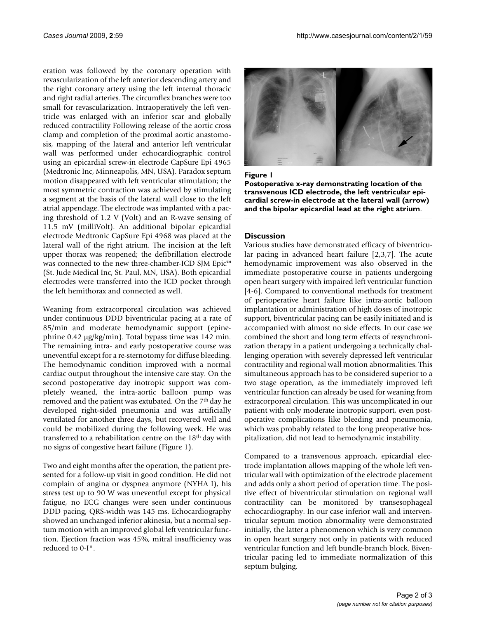eration was followed by the coronary operation with revascularization of the left anterior descending artery and the right coronary artery using the left internal thoracic and right radial arteries. The circumflex branches were too small for revascularization. Intraoperatively the left ventricle was enlarged with an inferior scar and globally reduced contractility Following release of the aortic cross clamp and completion of the proximal aortic anastomosis, mapping of the lateral and anterior left ventricular wall was performed under echocardiographic control using an epicardial screw-in electrode CapSure Epi 4965 (Medtronic Inc, Minneapolis, MN, USA). Paradox septum motion disappeared with left ventricular stimulation; the most symmetric contraction was achieved by stimulating a segment at the basis of the lateral wall close to the left atrial appendage. The electrode was implanted with a pacing threshold of 1.2 V (Volt) and an R-wave sensing of 11.5 mV (milliVolt). An additional bipolar epicardial electrode Medtronic CapSure Epi 4968 was placed at the lateral wall of the right atrium. The incision at the left upper thorax was reopened; the defibrillation electrode was connected to the new three-chamber-ICD SJM Epic™ (St. Jude Medical Inc, St. Paul, MN, USA). Both epicardial electrodes were transferred into the ICD pocket through the left hemithorax and connected as well.

Weaning from extracorporeal circulation was achieved under continuous DDD biventricular pacing at a rate of 85/min and moderate hemodynamic support (epinephrine 0.42 μg/kg/min). Total bypass time was 142 min. The remaining intra- and early postoperative course was uneventful except for a re-sternotomy for diffuse bleeding. The hemodynamic condition improved with a normal cardiac output throughout the intensive care stay. On the second postoperative day inotropic support was completely weaned, the intra-aortic balloon pump was removed and the patient was extubated. On the 7<sup>th</sup> day he developed right-sided pneumonia and was artificially ventilated for another three days, but recovered well and could be mobilized during the following week. He was transferred to a rehabilitation centre on the 18th day with no signs of congestive heart failure (Figure 1).

Two and eight months after the operation, the patient presented for a follow-up visit in good condition. He did not complain of angina or dyspnea anymore (NYHA I), his stress test up to 90 W was uneventful except for physical fatigue, no ECG changes were seen under continuous DDD pacing, QRS-width was 145 ms. Echocardiography showed an unchanged inferior akinesia, but a normal septum motion with an improved global left ventricular function. Ejection fraction was 45%, mitral insufficiency was reduced to 0-I°.



# **Figure I**

**Postoperative x-ray demonstrating location of the transvenous ICD electrode, the left ventricular epicardial screw-in electrode at the lateral wall (arrow) and the bipolar epicardial lead at the right atrium**.

# **Discussion**

Various studies have demonstrated efficacy of biventricular pacing in advanced heart failure [2,3,7]. The acute hemodynamic improvement was also observed in the immediate postoperative course in patients undergoing open heart surgery with impaired left ventricular function [4-6]. Compared to conventional methods for treatment of perioperative heart failure like intra-aortic balloon implantation or administration of high doses of inotropic support, biventricular pacing can be easily initiated and is accompanied with almost no side effects. In our case we combined the short and long term effects of resynchronization therapy in a patient undergoing a technically challenging operation with severely depressed left ventricular contractility and regional wall motion abnormalities. This simultaneous approach has to be considered superior to a two stage operation, as the immediately improved left ventricular function can already be used for weaning from extracorporeal circulation. This was uncomplicated in our patient with only moderate inotropic support, even postoperative complications like bleeding and pneumonia, which was probably related to the long preoperative hospitalization, did not lead to hemodynamic instability.

Compared to a transvenous approach, epicardial electrode implantation allows mapping of the whole left ventricular wall with optimization of the electrode placement and adds only a short period of operation time. The positive effect of biventricular stimulation on regional wall contractility can be monitored by transesophageal echocardiography. In our case inferior wall and interventricular septum motion abnormality were demonstrated initially, the latter a phenomenon which is very common in open heart surgery not only in patients with reduced ventricular function and left bundle-branch block. Biventricular pacing led to immediate normalization of this septum bulging.